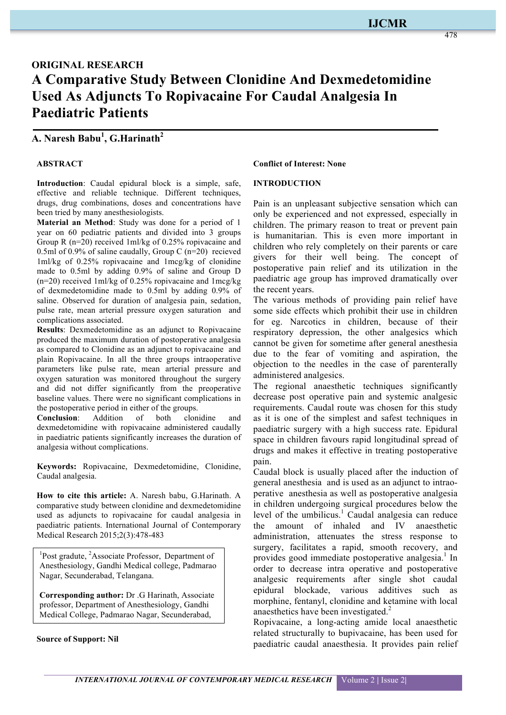# **ORIGINAL RESEARCH A Comparative Study Between Clonidine And Dexmedetomidine Used As Adjuncts To Ropivacaine For Caudal Analgesia In Paediatric Patients**

# **A. Naresh Babu<sup>1</sup> , G.Harinath<sup>2</sup>**

#### **ABSTRACT**

**Introduction**: Caudal epidural block is a simple, safe, effective and reliable technique. Different techniques, drugs, drug combinations, doses and concentrations have been tried by many anesthesiologists.

**Material an Method**: Study was done for a period of 1 year on 60 pediatric patients and divided into 3 groups Group R (n=20) received 1ml/kg of 0.25% ropivacaine and 0.5ml of 0.9% of saline caudally, Group C (n=20) recieved 1ml/kg of 0.25% ropivacaine and 1mcg/kg of clonidine made to 0.5ml by adding 0.9% of saline and Group D (n=20) received 1ml/kg of 0.25% ropivacaine and 1mcg/kg of dexmedetomidine made to 0.5ml by adding 0.9% of saline. Observed for duration of analgesia pain, sedation, pulse rate, mean arterial pressure oxygen saturation and complications associated.

**Results**: Dexmedetomidine as an adjunct to Ropivacaine produced the maximum duration of postoperative analgesia as compared to Clonidine as an adjunct to ropivacaine and plain Ropivacaine. In all the three groups intraoperative parameters like pulse rate, mean arterial pressure and oxygen saturation was monitored throughout the surgery and did not differ significantly from the preoperative baseline values. There were no significant complications in the postoperative period in either of the groups.

**Conclusion**: Addition of both clonidine and dexmedetomidine with ropivacaine administered caudally in paediatric patients significantly increases the duration of analgesia without complications.

**Keywords:** Ropivacaine, Dexmedetomidine, Clonidine, Caudal analgesia.

**How to cite this article:** A. Naresh babu, G.Harinath. A comparative study between clonidine and dexmedetomidine used as adjuncts to ropivacaine for caudal analgesia in paediatric patients. International Journal of Contemporary Medical Research 2015;2(3):478-483

<sup>1</sup>Post gradute, <sup>2</sup>Associate Professor, Department of Anesthesiology, Gandhi Medical college, Padmarao Nagar, Secunderabad, Telangana.

**Corresponding author:** Dr .G Harinath, Associate professor, Department of Anesthesiology, Gandhi Medical College, Padmarao Nagar, Secunderabad,

**Source of Support: Nil**

#### **Conflict of Interest: None**

#### **INTRODUCTION**

Pain is an unpleasant subjective sensation which can only be experienced and not expressed, especially in children. The primary reason to treat or prevent pain is humanitarian. This is even more important in children who rely completely on their parents or care givers for their well being. The concept of postoperative pain relief and its utilization in the paediatric age group has improved dramatically over the recent years.

The various methods of providing pain relief have some side effects which prohibit their use in children for eg. Narcotics in children, because of their respiratory depression, the other analgesics which cannot be given for sometime after general anesthesia due to the fear of vomiting and aspiration, the objection to the needles in the case of parenterally administered analgesics.

The regional anaesthetic techniques significantly decrease post operative pain and systemic analgesic requirements. Caudal route was chosen for this study as it is one of the simplest and safest techniques in paediatric surgery with a high success rate. Epidural space in children favours rapid longitudinal spread of drugs and makes it effective in treating postoperative pain.

Caudal block is usually placed after the induction of general anesthesia and is used as an adjunct to intraoperative anesthesia as well as postoperative analgesia in children undergoing surgical procedures below the level of the umbilicus.<sup>1</sup> Caudal analgesia can reduce the amount of inhaled and IV anaesthetic administration, attenuates the stress response to surgery, facilitates a rapid, smooth recovery, and provides good immediate postoperative analgesia.<sup>1</sup> In order to decrease intra operative and postoperative analgesic requirements after single shot caudal epidural blockade, various additives such as morphine, fentanyl, clonidine and ketamine with local anaesthetics have been investigated.<sup>2</sup>

Ropivacaine, a long-acting amide local anaesthetic related structurally to bupivacaine, has been used for paediatric caudal anaesthesia. It provides pain relief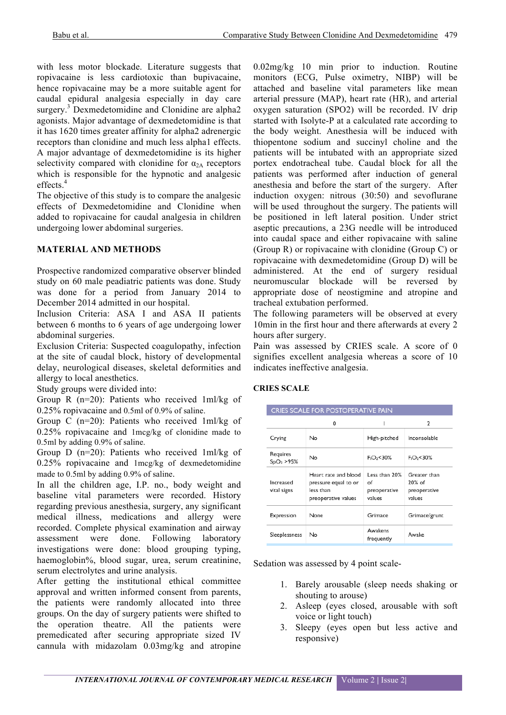with less motor blockade. Literature suggests that ropivacaine is less cardiotoxic than bupivacaine, hence ropivacaine may be a more suitable agent for caudal epidural analgesia especially in day care surgery.<sup>3</sup> Dexmedetomidine and Clonidine are alpha<sub>2</sub> agonists. Major advantage of dexmedetomidine is that it has 1620 times greater affinity for alpha2 adrenergic receptors than clonidine and much less alpha1 effects. A major advantage of dexmedetomidine is its higher selectivity compared with clonidine for  $\alpha_{2A}$  receptors which is responsible for the hypnotic and analgesic effects.<sup>4</sup>

The objective of this study is to compare the analgesic effects of Dexmedetomidine and Clonidine when added to ropivacaine for caudal analgesia in children undergoing lower abdominal surgeries.

## **MATERIAL AND METHODS**

Prospective randomized comparative observer blinded study on 60 male peadiatric patients was done. Study was done for a period from January 2014 to December 2014 admitted in our hospital.

Inclusion Criteria: ASA I and ASA II patients between 6 months to 6 years of age undergoing lower abdominal surgeries.

Exclusion Criteria: Suspected coagulopathy, infection at the site of caudal block, history of developmental delay, neurological diseases, skeletal deformities and allergy to local anesthetics.

Study groups were divided into:

Group R (n=20): Patients who received 1ml/kg of 0.25% ropivacaine and 0.5ml of 0.9% of saline.

Group C (n=20): Patients who received 1ml/kg of 0.25% ropivacaine and 1mcg/kg of clonidine made to 0.5ml by adding 0.9% of saline.

Group D (n=20): Patients who received 1ml/kg of 0.25% ropivacaine and 1mcg/kg of dexmedetomidine made to 0.5ml by adding 0.9% of saline.

In all the children age, I.P. no., body weight and baseline vital parameters were recorded. History regarding previous anesthesia, surgery, any significant medical illness, medications and allergy were recorded. Complete physical examination and airway assessment were done. Following laboratory investigations were done: blood grouping typing, haemoglobin%, blood sugar, urea, serum creatinine, serum electrolytes and urine analysis.

After getting the institutional ethical committee approval and written informed consent from parents, the patients were randomly allocated into three groups. On the day of surgery patients were shifted to the operation theatre. All the patients were premedicated after securing appropriate sized IV cannula with midazolam 0.03mg/kg and atropine 0.02mg/kg 10 min prior to induction. Routine monitors (ECG, Pulse oximetry, NIBP) will be attached and baseline vital parameters like mean arterial pressure (MAP), heart rate (HR), and arterial oxygen saturation (SPO2) will be recorded. IV drip started with Isolyte-P at a calculated rate according to the body weight. Anesthesia will be induced with thiopentone sodium and succinyl choline and the patients will be intubated with an appropriate sized portex endotracheal tube. Caudal block for all the patients was performed after induction of general anesthesia and before the start of the surgery. After induction oxygen: nitrous (30:50) and sevoflurane will be used throughout the surgery. The patients will be positioned in left lateral position. Under strict aseptic precautions, a 23G needle will be introduced into caudal space and either ropivacaine with saline (Group R) or ropivacaine with clonidine (Group C) or ropivacaine with dexmedetomidine (Group D) will be administered. At the end of surgery residual neuromuscular blockade will be reversed by appropriate dose of neostigmine and atropine and tracheal extubation performed.

The following parameters will be observed at every 10min in the first hour and there afterwards at every 2 hours after surgery.

Pain was assessed by CRIES scale. A score of 0 signifies excellent analgesia whereas a score of 10 indicates ineffective analgesia.

| <b>CRIES SCALE FOR POSTOPERATIVE PAIN</b> |                                                                                  |                                               |                                                    |  |  |  |  |
|-------------------------------------------|----------------------------------------------------------------------------------|-----------------------------------------------|----------------------------------------------------|--|--|--|--|
|                                           | 0                                                                                | ı                                             | 2                                                  |  |  |  |  |
| Crying                                    | Nο                                                                               | High-pitched                                  | Inconsolable                                       |  |  |  |  |
| Requires<br>SpO <sub>2</sub> > 95%        | Nο                                                                               | $F_1O_2$ <30%                                 | $F_1O_2 < 30\%$                                    |  |  |  |  |
| Increased<br>vital signs                  | Heart rate and blood<br>pressure equal to or<br>less than<br>preoperative values | Less than 20%<br>of<br>preoperative<br>values | Greater than<br>$20%$ of<br>preoperative<br>values |  |  |  |  |
| Expression                                | None                                                                             | Grimace                                       | Grimace/grunt                                      |  |  |  |  |
| Sleeplessness                             | No                                                                               | Awakens<br>frequently                         | Awake                                              |  |  |  |  |

## **CRIES SCALE**

Sedation was assessed by 4 point scale-

- 1. Barely arousable (sleep needs shaking or shouting to arouse)
- 2. Asleep (eyes closed, arousable with soft voice or light touch)
- 3. Sleepy (eyes open but less active and responsive)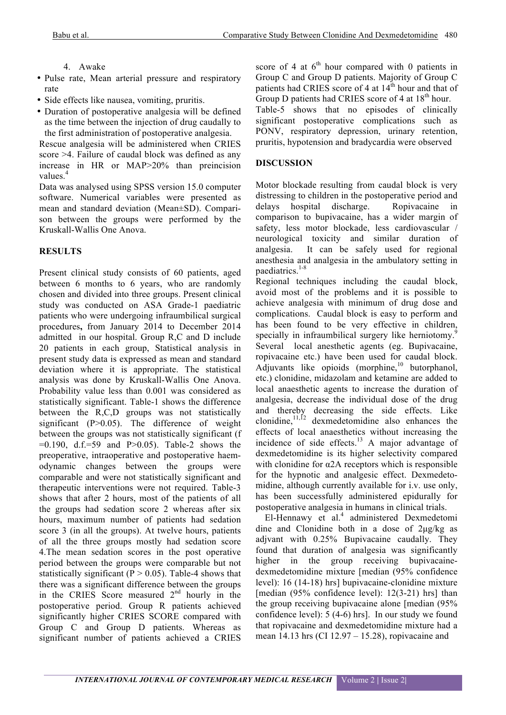# 4. Awake

- Pulse rate, Mean arterial pressure and respiratory rate
- Side effects like nausea, vomiting, pruritis.
- Duration of postoperative analgesia will be defined as the time between the injection of drug caudally to the first administration of postoperative analgesia.

Rescue analgesia will be administered when CRIES score >4. Failure of caudal block was defined as any increase in HR or MAP>20% than preincision values.<sup>4</sup>

Data was analysed using SPSS version 15.0 computer software. Numerical variables were presented as mean and standard deviation (Mean±SD). Comparison between the groups were performed by the Kruskall-Wallis One Anova.

# **RESULTS**

Present clinical study consists of 60 patients, aged between 6 months to 6 years, who are randomly chosen and divided into three groups. Present clinical study was conducted on ASA Grade-1 paediatric patients who were undergoing infraumbilical surgical procedures**,** from January 2014 to December 2014 admitted in our hospital. Group R,C and D include 20 patients in each group, Statistical analysis in present study data is expressed as mean and standard deviation where it is appropriate. The statistical analysis was done by Kruskall-Wallis One Anova. Probability value less than 0.001 was considered as statistically significant. Table-1 shows the difference between the R,C,D groups was not statistically significant  $(P>0.05)$ . The difference of weight between the groups was not statistically significant (f  $=0.190$ , d.f.=59 and P $>0.05$ ). Table-2 shows the preoperative, intraoperative and postoperative haemodynamic changes between the groups were comparable and were not statistically significant and therapeutic interventions were not required. Table-3 shows that after 2 hours, most of the patients of all the groups had sedation score 2 whereas after six hours, maximum number of patients had sedation score 3 (in all the groups). At twelve hours, patients of all the three groups mostly had sedation score 4.The mean sedation scores in the post operative period between the groups were comparable but not statistically significant ( $P > 0.05$ ). Table-4 shows that there was a significant difference between the groups in the CRIES Score measured 2<sup>nd</sup> hourly in the postoperative period. Group R patients achieved significantly higher CRIES SCORE compared with Group C and Group D patients. Whereas as significant number of patients achieved a CRIES score of 4 at  $6<sup>th</sup>$  hour compared with 0 patients in Group C and Group D patients. Majority of Group C patients had CRIES score of 4 at  $14<sup>th</sup>$  hour and that of Group D patients had CRIES score of 4 at  $18<sup>th</sup>$  hour. Table-5 shows that no episodes of clinically significant postoperative complications such as PONV, respiratory depression, urinary retention, pruritis, hypotension and bradycardia were observed

# **DISCUSSION**

Motor blockade resulting from caudal block is very distressing to children in the postoperative period and delays hospital discharge. Ropivacaine in comparison to bupivacaine, has a wider margin of safety, less motor blockade, less cardiovascular / neurological toxicity and similar duration of analgesia. It can be safely used for regional anesthesia and analgesia in the ambulatory setting in paediatrics.<sup>1-8</sup>

Regional techniques including the caudal block, avoid most of the problems and it is possible to achieve analgesia with minimum of drug dose and complications. Caudal block is easy to perform and has been found to be very effective in children, specially in infraumbilical surgery like herniotomy.<sup>9</sup> Several local anesthetic agents (eg. Bupivacaine, ropivacaine etc.) have been used for caudal block. Adjuvants like opioids  $(morphine<sub>i</sub><sup>10</sup>)$  butorphanol, etc.) clonidine, midazolam and ketamine are added to local anaesthetic agents to increase the duration of analgesia, decrease the individual dose of the drug and thereby decreasing the side effects. Like clonidine,  $11,12$  dexmedetomidine also enhances the effects of local anaesthetics without increasing the incidence of side effects.<sup>13</sup> A major advantage of dexmedetomidine is its higher selectivity compared with clonidine for  $\alpha$ 2A receptors which is responsible for the hypnotic and analgesic effect. Dexmedetomidine, although currently available for i.v. use only, has been successfully administered epidurally for postoperative analgesia in humans in clinical trials.

 $E1$ -Hennawy et al.<sup>4</sup> administered Dexmedetomi dine and Clonidine both in a dose of 2µg/kg as adjvant with 0.25% Bupivacaine caudally. They found that duration of analgesia was significantly higher in the group receiving bupivacainedexmedetomidine mixture [median (95% confidence level): 16 (14-18) hrs] bupivacaine-clonidine mixture [median (95% confidence level): 12(3-21) hrs] than the group receiving bupivacaine alone [median (95% confidence level): 5 (4-6) hrs]. In our study we found that ropivacaine and dexmedetomidine mixture had a mean 14.13 hrs (CI 12.97 – 15.28), ropivacaine and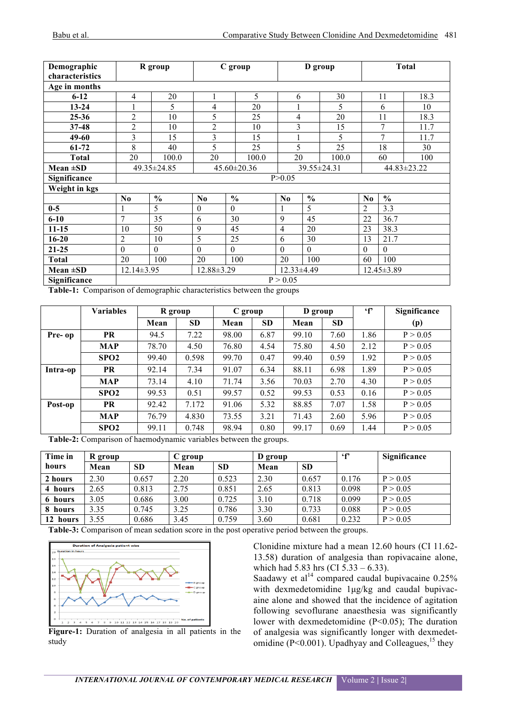| Demographic<br>characteristics |                                                                        | R group        | C group<br>D group |               |          | <b>Total</b>  |       |                |               |      |
|--------------------------------|------------------------------------------------------------------------|----------------|--------------------|---------------|----------|---------------|-------|----------------|---------------|------|
| Age in months                  |                                                                        |                |                    |               |          |               |       |                |               |      |
| $6 - 12$                       | 4                                                                      | 20             |                    | 5             | 6        |               | 30    |                | 11            | 18.3 |
| $13 - 24$                      |                                                                        | 5              | 4                  | 20            |          |               | 5     |                | 6             | 10   |
| $25 - 36$                      | $\overline{2}$                                                         | 10             | 5                  | 25            | 4        |               | 20    |                | 11            | 18.3 |
| $37 - 48$                      | $\overline{c}$                                                         | 10             | $\overline{2}$     | 10            | 3        |               | 15    |                | 7             | 11.7 |
| 49-60                          | 3                                                                      | 15             | 3                  | 15            |          |               | 5     |                | 7             | 11.7 |
| 61-72                          | 8                                                                      | 40             | 5                  | 25            | 5        |               | 25    |                | 18            | 30   |
| <b>Total</b>                   | 20                                                                     | 100.0          | 20                 | 100.0         | 20       |               | 100.0 |                | 60            | 100  |
| Mean $\pm SD$                  | 49.35 ± 24.85<br>$45.60 \pm 20.36$<br>39.55±24.31<br>$44.83 \pm 23.22$ |                |                    |               |          |               |       |                |               |      |
| Significance                   |                                                                        |                |                    |               | P > 0.05 |               |       |                |               |      |
| Weight in kgs                  |                                                                        |                |                    |               |          |               |       |                |               |      |
|                                | N <sub>0</sub>                                                         | $\frac{0}{0}$  | N <sub>0</sub>     | $\frac{0}{0}$ | $\bf No$ | $\frac{6}{6}$ |       | N <sub>0</sub> | $\frac{0}{0}$ |      |
| $0-5$                          |                                                                        | 5              | $\theta$           | $\Omega$      |          | 5             |       | $\overline{2}$ | 3.3           |      |
| $6 - 10$                       | $\overline{7}$                                                         | 35             | 6                  | 30            | 9        | 45            |       | 22             | 36.7          |      |
| $11 - 15$                      | 10                                                                     | 50             | 9                  | 45            | 4        | 20            |       | 23             | 38.3          |      |
| $16 - 20$                      | 2                                                                      | 10             | 5                  | 25            | 6        | 30            |       | 13             | 21.7          |      |
| $21 - 25$                      | $\theta$                                                               | $\overline{0}$ | $\theta$           | $\Omega$      | $\theta$ | $\Omega$      |       | $\theta$       | $\Omega$      |      |
| <b>Total</b>                   | 20                                                                     | 100            | 20                 | 100           | 20       | 100           |       | 60             | 100           |      |
| Mean $\pm SD$                  | 12.88±3.29<br>$12.14 \pm 3.95$<br>12.33±4.49<br>12.45±3.89             |                |                    |               |          |               |       |                |               |      |
| Significance                   |                                                                        | P > 0.05       |                    |               |          |               |       |                |               |      |

**Table-1:** Comparison of demographic characteristics between the groups

|          | <b>Variables</b> | R group |           | C group |           | D group |           | $\mathbf{f}$ | Significance |
|----------|------------------|---------|-----------|---------|-----------|---------|-----------|--------------|--------------|
|          |                  | Mean    | <b>SD</b> | Mean    | <b>SD</b> | Mean    | <b>SD</b> |              | (p)          |
| Pre- op  | <b>PR</b>        | 94.5    | 7.22      | 98.00   | 6.87      | 99.10   | 7.60      | 1.86         | P > 0.05     |
|          | <b>MAP</b>       | 78.70   | 4.50      | 76.80   | 4.54      | 75.80   | 4.50      | 2.12         | P > 0.05     |
|          | SPO <sub>2</sub> | 99.40   | 0.598     | 99.70   | 0.47      | 99.40   | 0.59      | 1.92         | P > 0.05     |
| Intra-op | <b>PR</b>        | 92.14   | 7.34      | 91.07   | 6.34      | 88.11   | 6.98      | 1.89         | P > 0.05     |
|          | <b>MAP</b>       | 73.14   | 4.10      | 71.74   | 3.56      | 70.03   | 2.70      | 4.30         | P > 0.05     |
|          | SPO2             | 99.53   | 0.51      | 99.57   | 0.52      | 99.53   | 0.53      | 0.16         | P > 0.05     |
| Post-op  | <b>PR</b>        | 92.42   | 7.172     | 91.06   | 5.32      | 88.85   | 7.07      | 1.58         | P > 0.05     |
|          | <b>MAP</b>       | 76.79   | 4.830     | 73.55   | 3.21      | 71.43   | 2.60      | 5.96         | P > 0.05     |
|          | SPO <sub>2</sub> | 99.11   | 0.748     | 98.94   | 0.80      | 99.17   | 0.69      | 1.44         | P > 0.05     |

**Table-2:** Comparison of haemodynamic variables between the groups.

| Time in  | R group |           | C group |           | D group |           | $\cdot$ f | Significance |
|----------|---------|-----------|---------|-----------|---------|-----------|-----------|--------------|
| hours    | Mean    | <b>SD</b> | Mean    | <b>SD</b> | Mean    | <b>SD</b> |           |              |
| 2 hours  | 2.30    | 0.657     | 2.20    | 0.523     | 2.30    | 0.657     | 0.176     | P > 0.05     |
| 4 hours  | 2.65    | 0.813     | 2.75    | 0.851     | 2.65    | 0.813     | 0.098     | P > 0.05     |
| 6 hours  | 3.05    | 0.686     | 3.00    | 0.725     | 3.10    | 0.718     | 0.099     | P > 0.05     |
| 8 hours  | 3.35    | 0.745     | 3.25    | 0.786     | 3.30    | 0.733     | 0.088     | P > 0.05     |
| 12 hours | 3.55    | 0.686     | 3.45    | 0.759     | 3.60    | 0.681     | 0.232     | P > 0.05     |

**Table-3:** Comparison of mean sedation score in the post operative period between the groups.



**Figure-1:** Duration of analgesia in all patients in the study

Clonidine mixture had a mean 12.60 hours (CI 11.62- 13.58) duration of analgesia than ropivacaine alone, which had 5.83 hrs (CI 5.33 – 6.33).

Saadawy et al<sup>14</sup> compared caudal bupivacaine  $0.25\%$ with dexmedetomidine 1µg/kg and caudal bupivacaine alone and showed that the incidence of agitation following sevoflurane anaesthesia was significantly lower with dexmedetomidine (P<0.05); The duration of analgesia was significantly longer with dexmedetomidine ( $P < 0.001$ ). Upadhyay and Colleagues, <sup>15</sup> they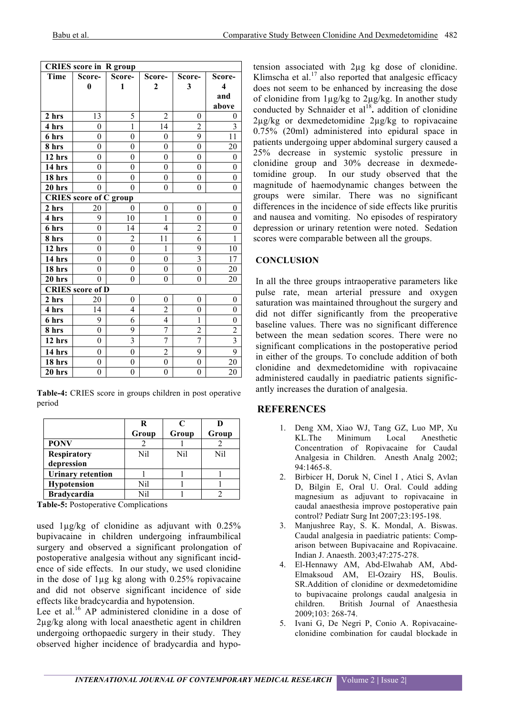| <b>CRIES</b> score in R group |                         |                  |                  |                         |                         |  |  |  |
|-------------------------------|-------------------------|------------------|------------------|-------------------------|-------------------------|--|--|--|
| Time                          | Score-                  | Score-           | Score-           | Score-                  | Score-                  |  |  |  |
|                               | $\bf{0}$                | 1                | $\mathbf{2}$     | 3                       | 4                       |  |  |  |
|                               |                         |                  |                  |                         | and                     |  |  |  |
|                               |                         |                  |                  |                         | above                   |  |  |  |
| 2 hrs                         | 13                      | 5                | $\overline{2}$   | $\theta$                | $\theta$                |  |  |  |
| 4 hrs                         | $\theta$                | 1                | 14               | $\overline{c}$          | 3                       |  |  |  |
| 6 hrs                         | $\theta$                | $\theta$         | $\theta$         | 9                       | 11                      |  |  |  |
| 8 hrs                         | $\overline{0}$          | 0                | $\boldsymbol{0}$ | $\overline{0}$          | 20                      |  |  |  |
| 12 hrs                        | $\theta$                | $\theta$         | $\theta$         | $\theta$                | $\theta$                |  |  |  |
| 14 hrs                        | $\theta$                | $\theta$         | $\theta$         | $\theta$                | $\theta$                |  |  |  |
| 18 hrs                        | $\boldsymbol{0}$        | 0                | 0                | $\overline{0}$          | $\theta$                |  |  |  |
| 20 hrs                        | $\theta$                | $\theta$         | $\theta$         | $\theta$                | $\theta$                |  |  |  |
| <b>CRIES</b> score of C group |                         |                  |                  |                         |                         |  |  |  |
| 2 hrs                         | 20                      | 0                | $\boldsymbol{0}$ | $\boldsymbol{0}$        | $\theta$                |  |  |  |
| 4 hrs                         | 9                       | 10               | 1                | $\theta$                | $\theta$                |  |  |  |
| 6 hrs                         | $\theta$                | 14               | $\overline{4}$   | $\overline{2}$          | $\theta$                |  |  |  |
| 8 hrs                         | $\theta$                | $\overline{2}$   | 11               | 6                       | 1                       |  |  |  |
| 12 hrs                        | $\overline{0}$          | 0                | 1                | 9                       | 10                      |  |  |  |
| 14 hrs                        | $\theta$                | $\theta$         | $\theta$         | $\overline{\mathbf{3}}$ | 17                      |  |  |  |
| 18 hrs                        | $\overline{0}$          | $\overline{0}$   | $\overline{0}$   | $\overline{0}$          | 20                      |  |  |  |
| 20 hrs                        | $\theta$                | $\theta$         | $\theta$         | $\overline{0}$          | 20                      |  |  |  |
|                               | <b>CRIES</b> score of D |                  |                  |                         |                         |  |  |  |
| 2 hrs                         | 20                      | $\theta$         | $\theta$         | 0                       | $\theta$                |  |  |  |
| 4 hrs                         | 14                      | 4                | $\overline{2}$   | $\theta$                | $\theta$                |  |  |  |
| 6 hrs                         | 9                       | 6                | 4                | $\mathbf{1}$            | $\theta$                |  |  |  |
| 8 hrs                         | $\theta$                | 9                | 7                | $\overline{c}$          | $\overline{c}$          |  |  |  |
| 12 hrs                        | $\theta$                | $\overline{3}$   | $\overline{7}$   | $\overline{7}$          | $\overline{\mathbf{3}}$ |  |  |  |
| 14 hrs                        | $\theta$                | $\overline{0}$   | $\overline{2}$   | 9                       | 9                       |  |  |  |
| 18 hrs                        | $\boldsymbol{0}$        | 0                | $\boldsymbol{0}$ | 0                       | 20                      |  |  |  |
| 20 hrs                        | $\boldsymbol{0}$        | $\boldsymbol{0}$ | $\boldsymbol{0}$ | $\boldsymbol{0}$        | 20                      |  |  |  |

**Table-4:** CRIES score in groups children in post operative period

|                          | R     |       |       |
|--------------------------|-------|-------|-------|
|                          | Group | Group | Group |
| <b>PONV</b>              |       |       |       |
| <b>Respiratory</b>       | Nil   | Nil   | Nil   |
| depression               |       |       |       |
| <b>Urinary retention</b> |       |       |       |
| <b>Hypotension</b>       | Nil   |       |       |
| <b>Bradycardia</b>       | Nil   |       |       |

**Table-5:** Postoperative Complications

used  $1\mu\text{g/kg}$  of clonidine as adjuvant with  $0.25\%$ bupivacaine in children undergoing infraumbilical surgery and observed a significant prolongation of postoperative analgesia without any significant incidence of side effects. In our study, we used clonidine in the dose of 1µg kg along with 0.25% ropivacaine and did not observe significant incidence of side effects like bradcycardia and hypotension.

Lee et al.<sup>16</sup> AP administered clonidine in a dose of 2µg/kg along with local anaesthetic agent in children undergoing orthopaedic surgery in their study. They observed higher incidence of bradycardia and hypo-

tension associated with 2µg kg dose of clonidine. Klimscha et al.<sup>17</sup> also reported that analgesic efficacy does not seem to be enhanced by increasing the dose of clonidine from  $1\mu$ g/kg to  $2\mu$ g/kg. In another study conducted by Schnaider et al<sup>18</sup>. addition of clonidine 2µg/kg or dexmedetomidine 2µg/kg to ropivacaine 0.75% (20ml) administered into epidural space in patients undergoing upper abdominal surgery caused a 25% decrease in systemic systolic pressure in clonidine group and 30% decrease in dexmedetomidine group. In our study observed that the magnitude of haemodynamic changes between the groups were similar. There was no significant differences in the incidence of side effects like pruritis and nausea and vomiting. No episodes of respiratory depression or urinary retention were noted. Sedation scores were comparable between all the groups.

## **CONCLUSION**

In all the three groups intraoperative parameters like pulse rate, mean arterial pressure and oxygen saturation was maintained throughout the surgery and did not differ significantly from the preoperative baseline values. There was no significant difference between the mean sedation scores. There were no significant complications in the postoperative period in either of the groups. To conclude addition of both clonidine and dexmedetomidine with ropivacaine administered caudally in paediatric patients significantly increases the duration of analgesia.

## **REFERENCES**

- 1. Deng XM, Xiao WJ, Tang GZ, Luo MP, Xu KL.The Minimum Local Anesthetic Concentration of Ropivacaine for Caudal Analgesia in Children. Anesth Analg 2002; 94:1465-8.
- 2. Birbicer H, Doruk N, Cinel I , Atici S, Avlan D, Bilgin E, Oral U. Oral. Could adding magnesium as adjuvant to ropivacaine in caudal anaesthesia improve postoperative pain control? Pediatr Surg Int 2007;23:195-198.
- 3. Manjushree Ray, S. K. Mondal, A. Biswas. Caudal analgesia in paediatric patients: Comparison between Bupivacaine and Ropivacaine. Indian J. Anaesth. 2003;47:275-278.
- 4. El-Hennawy AM, Abd-Elwahab AM, Abd-Elmaksoud AM, El-Ozairy HS, Boulis. SR.Addition of clonidine or dexmedetomidine to bupivacaine prolongs caudal analgesia in children. British Journal of Anaesthesia 2009;103: 268-74.
- 5. Ivani G, De Negri P, Conio A. Ropivacaineclonidine combination for caudal blockade in